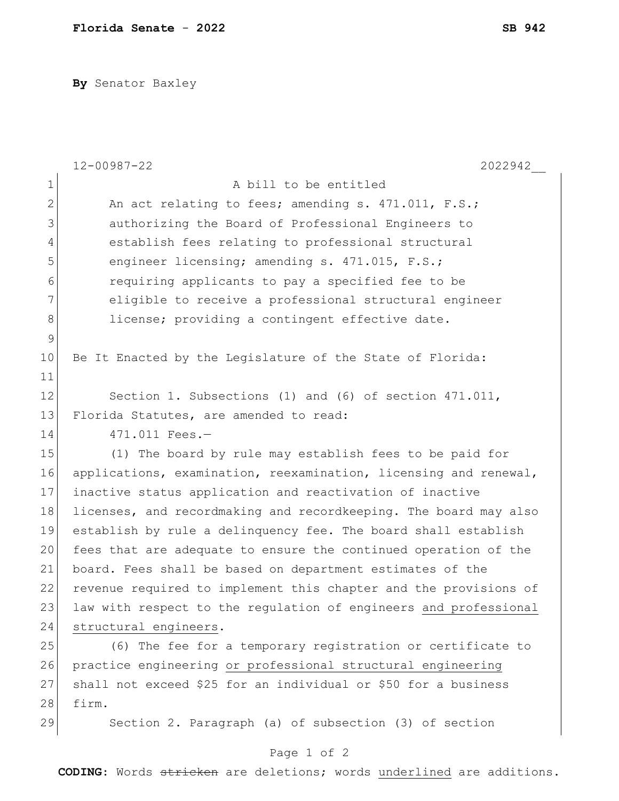**By** Senator Baxley

|                | $12 - 00987 - 22$<br>2022942                                     |
|----------------|------------------------------------------------------------------|
| $\mathbf{1}$   | A bill to be entitled                                            |
| $\overline{2}$ | An act relating to fees; amending s. 471.011, F.S.;              |
| 3              | authorizing the Board of Professional Engineers to               |
| 4              | establish fees relating to professional structural               |
| 5              | engineer licensing; amending s. 471.015, F.S.;                   |
| 6              | requiring applicants to pay a specified fee to be                |
| 7              | eligible to receive a professional structural engineer           |
| 8              | license; providing a contingent effective date.                  |
| $\mathsf 9$    |                                                                  |
| 10             | Be It Enacted by the Legislature of the State of Florida:        |
| 11             |                                                                  |
| 12             | Section 1. Subsections (1) and (6) of section 471.011,           |
| 13             | Florida Statutes, are amended to read:                           |
| 14             | 471.011 Fees.-                                                   |
| 15             | (1) The board by rule may establish fees to be paid for          |
| 16             | applications, examination, reexamination, licensing and renewal, |
| 17             | inactive status application and reactivation of inactive         |
| 18             | licenses, and recordmaking and recordkeeping. The board may also |
| 19             | establish by rule a delinquency fee. The board shall establish   |
| 20             | fees that are adequate to ensure the continued operation of the  |
| 21             | board. Fees shall be based on department estimates of the        |
| 22             | revenue required to implement this chapter and the provisions of |
| 23             | law with respect to the regulation of engineers and professional |
| 24             | structural engineers.                                            |
| 25             | (6) The fee for a temporary registration or certificate to       |
| 26             | practice engineering or professional structural engineering      |
| 27             | shall not exceed \$25 for an individual or \$50 for a business   |
| 28             | firm.                                                            |
| 29             | Section 2. Paragraph (a) of subsection (3) of section            |

## Page 1 of 2

**CODING**: Words stricken are deletions; words underlined are additions.